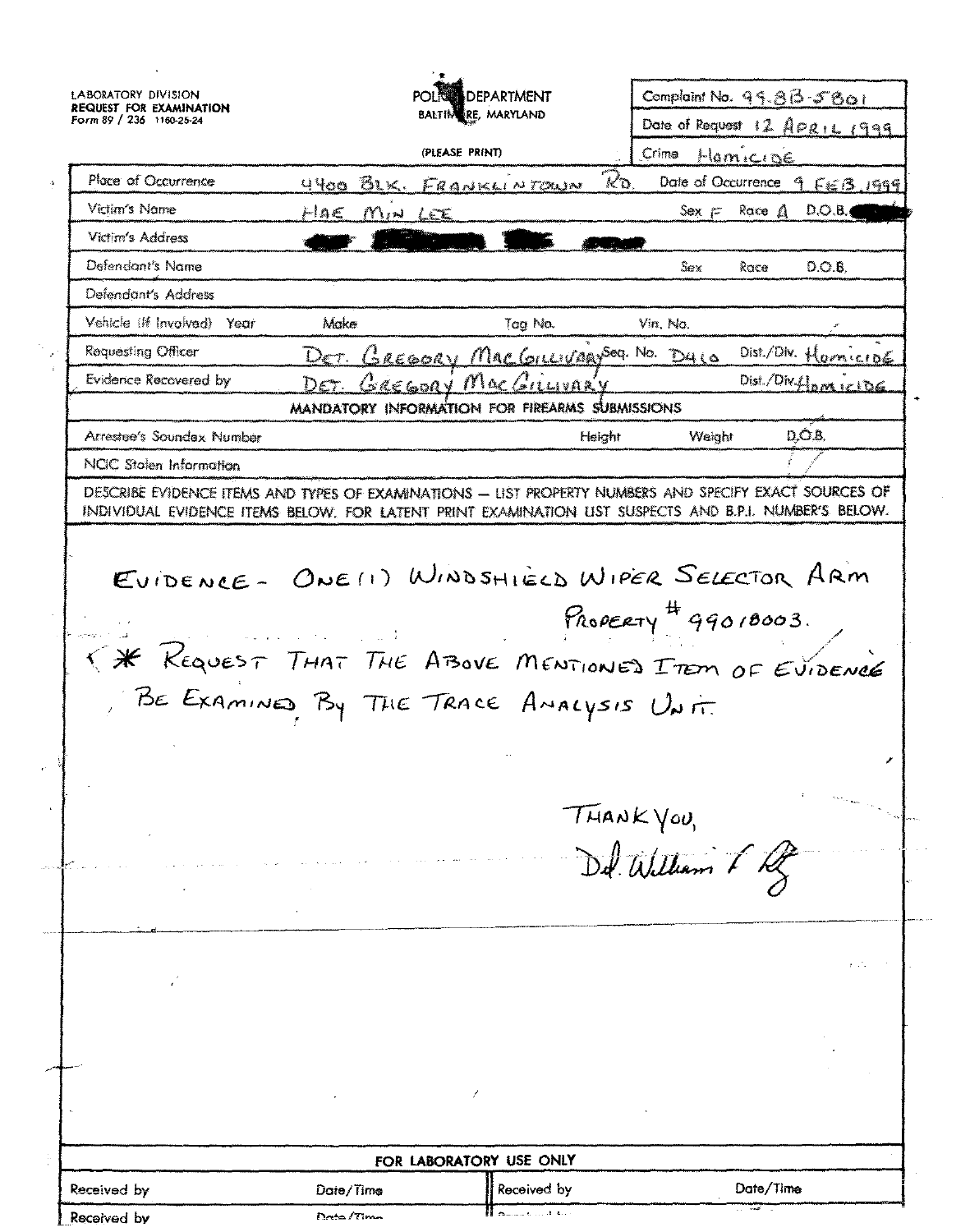**LABORATORY DIVISION** Complaint No. 99.813-5801 **DEPARTMENT REQUEST FOR EXAMINATION** BALTIM RE, MARYLAND Form 89 / 236 1160-25-24 Date of Request 12 APRIL 1999 (PLEASE PRINT) Crima Hamicine Place of Occurrence  $\mathcal{R}_{\mathbf{D}}$ Date of Occurrence 4 4400 BLK. FRANKLINTOWN  $F \in B$ , 1999 Victim's Nome Race A HAE MIN LEE  $Sex \sim$  $D.O.B.$ Victim's Address Defendant's Name Sex  $D.O.B.$ Race Defendant's Address Vehicle (If Involved) Make Yenr Vin, No. Tag No. **Requesting Officer** MacGILLIVARYSOG. No. DALO Dist./Div.  $\frac{1}{2}$ DET. GREGORY  $or \epsilon$ DET. GREGORY MACGIL **Evidence Recovered by** Dist./Div.f. MANDATORY INFORMATION FOR FIREARMS SUBMISSIONS DÓ.B. Arrestee's Soundax Number Height Weight **NCIC** Stolen Information DESCRIBE EVIDENCE ITEMS AND TYPES OF EXAMINATIONS - LIST PROPERTY NUMBERS AND SPECIFY EXACT SOURCES OF INDIVIDUAL EVIDENCE ITEMS BELOW, FOR LATENT PRINT EXAMINATION LIST SUSPECTS AND B.P.I. NUMBER'S BELOW. EVIDENCE- ONE (1) WINDSHIELD WIPER SELECTOR ARM PROPERTY  $499018003$ . K \* REQUEST THAT THE ABOVE MENTIONED ITEM OF EVIDENCE BE EXAMINES BY THE TRACE AMALYSIS UNIT.  $THANKVov,$ Del William & Rg FOR LABORATORY USE ONLY Received by Date/Time Received by Date/Time Data/Tim Racaivad hv